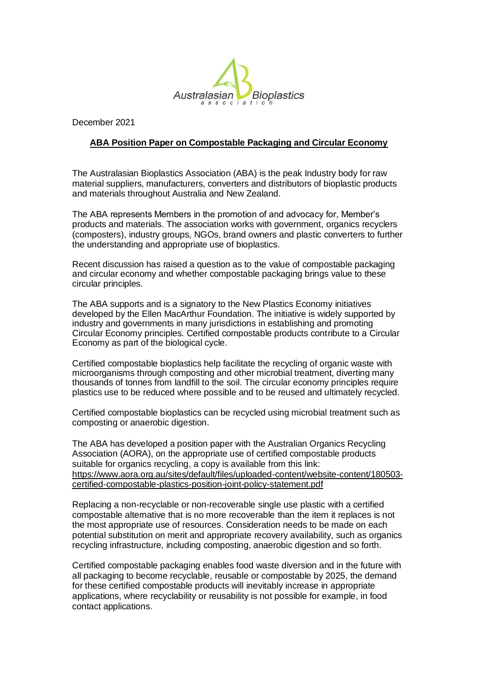

December 2021

## **ABA Position Paper on Compostable Packaging and Circular Economy**

The Australasian Bioplastics Association (ABA) is the peak Industry body for raw material suppliers, manufacturers, converters and distributors of bioplastic products and materials throughout Australia and New Zealand.

The ABA represents Members in the promotion of and advocacy for, Member's products and materials. The association works with government, organics recyclers (composters), industry groups, NGOs, brand owners and plastic converters to further the understanding and appropriate use of bioplastics.

Recent discussion has raised a question as to the value of compostable packaging and circular economy and whether compostable packaging brings value to these circular principles.

The ABA supports and is a signatory to the New Plastics Economy initiatives developed by the Ellen MacArthur Foundation. The initiative is widely supported by industry and governments in many jurisdictions in establishing and promoting Circular Economy principles. Certified compostable products contribute to a Circular Economy as part of the biological cycle.

Certified compostable bioplastics help facilitate the recycling of organic waste with microorganisms through composting and other microbial treatment, diverting many thousands of tonnes from landfill to the soil. The circular economy principles require plastics use to be reduced where possible and to be reused and ultimately recycled.

Certified compostable bioplastics can be recycled using microbial treatment such as composting or anaerobic digestion.

The ABA has developed a position paper with the Australian Organics Recycling Association (AORA), on the appropriate use of certified compostable products suitable for organics recycling, a copy is available from this link: https://www.aora.org.au/sites/default/files/uploaded-content/website-content/180503 certified-compostable-plastics-position-joint-policy-statement.pdf

Replacing a non-recyclable or non-recoverable single use plastic with a certified compostable alternative that is no more recoverable than the item it replaces is not the most appropriate use of resources. Consideration needs to be made on each potential substitution on merit and appropriate recovery availability, such as organics recycling infrastructure, including composting, anaerobic digestion and so forth.

Certified compostable packaging enables food waste diversion and in the future with all packaging to become recyclable, reusable or compostable by 2025, the demand for these certified compostable products will inevitably increase in appropriate applications, where recyclability or reusability is not possible for example, in food contact applications.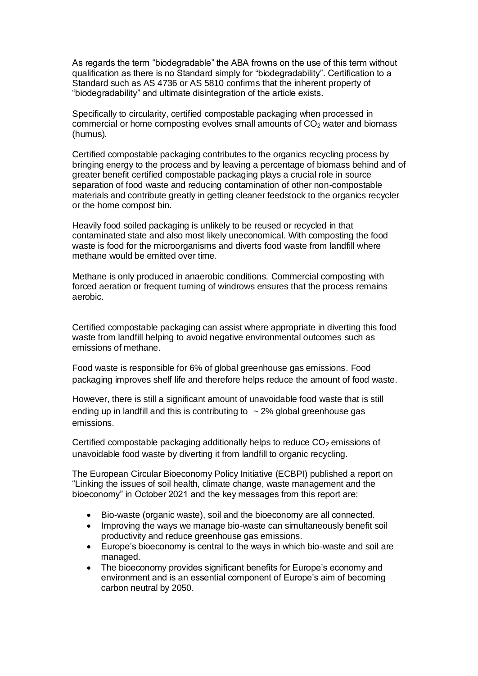As regards the term "biodegradable" the ABA frowns on the use of this term without qualification as there is no Standard simply for "biodegradability". Certification to a Standard such as AS 4736 or AS 5810 confirms that the inherent property of "biodegradability" and ultimate disintegration of the article exists.

Specifically to circularity, certified compostable packaging when processed in commercial or home composting evolves small amounts of  $CO<sub>2</sub>$  water and biomass (humus).

Certified compostable packaging contributes to the organics recycling process by bringing energy to the process and by leaving a percentage of biomass behind and of greater benefit certified compostable packaging plays a crucial role in source separation of food waste and reducing contamination of other non-compostable materials and contribute greatly in getting cleaner feedstock to the organics recycler or the home compost bin.

Heavily food soiled packaging is unlikely to be reused or recycled in that contaminated state and also most likely uneconomical. With composting the food waste is food for the microorganisms and diverts food waste from landfill where methane would be emitted over time.

Methane is only produced in anaerobic conditions. Commercial composting with forced aeration or frequent turning of windrows ensures that the process remains aerobic.

Certified compostable packaging can assist where appropriate in diverting this food waste from landfill helping to avoid negative environmental outcomes such as emissions of methane.

Food waste is responsible for 6% of global greenhouse gas emissions. Food packaging improves shelf life and therefore helps reduce the amount of food waste.

However, there is still a significant amount of unavoidable food waste that is still ending up in landfill and this is contributing to  $\sim$  2% global greenhouse gas emissions.

Certified compostable packaging additionally helps to reduce  $CO<sub>2</sub>$  emissions of unavoidable food waste by diverting it from landfill to organic recycling.

The European Circular Bioeconomy Policy Initiative (ECBPI) published a report on "Linking the issues of soil health, climate change, waste management and the bioeconomy" in October 2021 and the key messages from this report are:

- Bio-waste (organic waste), soil and the bioeconomy are all connected.
- Improving the ways we manage bio-waste can simultaneously benefit soil productivity and reduce greenhouse gas emissions.
- Europe's bioeconomy is central to the ways in which bio-waste and soil are managed.
- The bioeconomy provides significant benefits for Europe's economy and environment and is an essential component of Europe's aim of becoming carbon neutral by 2050.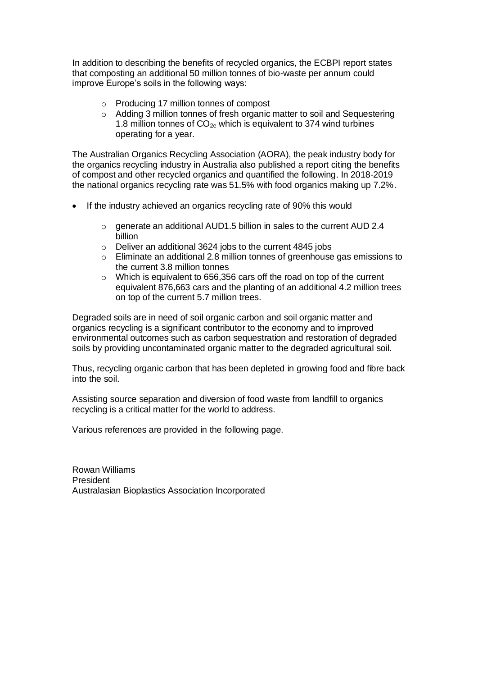In addition to describing the benefits of recycled organics, the ECBPI report states that composting an additional 50 million tonnes of bio-waste per annum could improve Europe's soils in the following ways:

- o Producing 17 million tonnes of compost
- o Adding 3 million tonnes of fresh organic matter to soil and Sequestering 1.8 million tonnes of  $CO<sub>2e</sub>$  which is equivalent to 374 wind turbines operating for a year.

The Australian Organics Recycling Association (AORA), the peak industry body for the organics recycling industry in Australia also published a report citing the benefits of compost and other recycled organics and quantified the following. In 2018-2019 the national organics recycling rate was 51.5% with food organics making up 7.2%.

- If the industry achieved an organics recycling rate of 90% this would
	- o generate an additional AUD1.5 billion in sales to the current AUD 2.4 billion
	- o Deliver an additional 3624 jobs to the current 4845 jobs
	- o Eliminate an additional 2.8 million tonnes of greenhouse gas emissions to the current 3.8 million tonnes
	- o Which is equivalent to 656,356 cars off the road on top of the current equivalent 876,663 cars and the planting of an additional 4.2 million trees on top of the current 5.7 million trees.

Degraded soils are in need of soil organic carbon and soil organic matter and organics recycling is a significant contributor to the economy and to improved environmental outcomes such as carbon sequestration and restoration of degraded soils by providing uncontaminated organic matter to the degraded agricultural soil.

Thus, recycling organic carbon that has been depleted in growing food and fibre back into the soil.

Assisting source separation and diversion of food waste from landfill to organics recycling is a critical matter for the world to address.

Various references are provided in the following page.

Rowan Williams President Australasian Bioplastics Association Incorporated